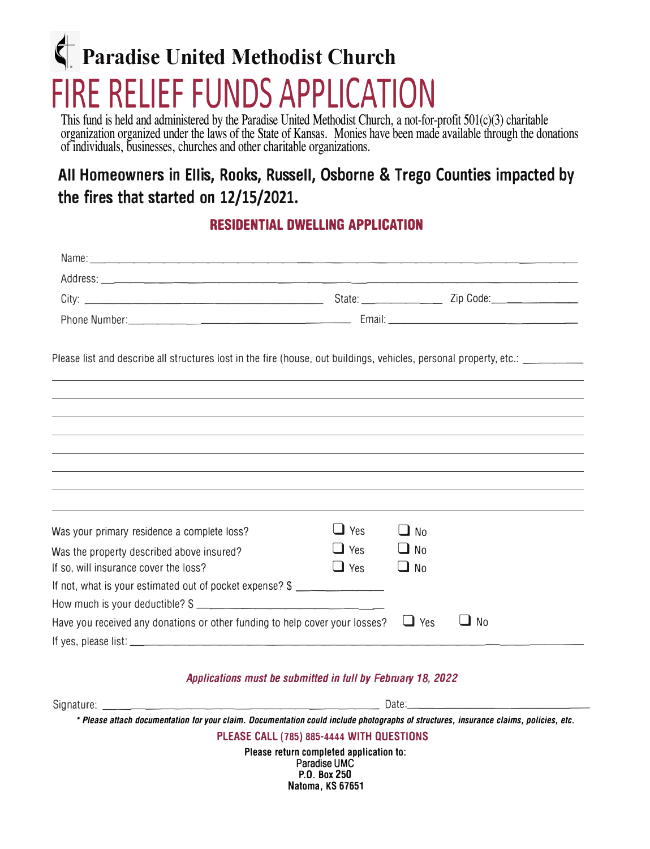# **Paradise United Methodist Church**  FIRE RELIEF FUNDS APPLICATION

This fund is held and administered by the Paradise United Methodist Church, a not-for-profit  $501(c)(3)$  charitable organization organized under the laws of the State of Kansas. Monies have been made available through the donations of individuals, businesses, churches and other charitable organizations.

# All Homeowners in Ellis, Rooks, Russell, Osborne & Trego Counties impacted by **the fires that started on 12/15/2021.**

# **RESIDENTIAL DWELLING APPLICATION**

| Please list and describe all structures lost in the fire (house, out buildings, vehicles, personal property, etc.: _________ |            |                   |    |
|------------------------------------------------------------------------------------------------------------------------------|------------|-------------------|----|
|                                                                                                                              |            |                   |    |
|                                                                                                                              |            |                   |    |
|                                                                                                                              |            |                   |    |
|                                                                                                                              |            |                   |    |
|                                                                                                                              |            |                   |    |
| Was your primary residence a complete loss?                                                                                  | $\Box$ Yes | $\blacksquare$ No |    |
| Was the property described above insured?                                                                                    | $\Box$ Yes | $\Box$ No         |    |
| If so, will insurance cover the loss?                                                                                        | $\Box$ Yes | $\Box$ No         |    |
| If not, what is your estimated out of pocket expense? \$                                                                     |            |                   |    |
|                                                                                                                              |            |                   |    |
| Have you received any donations or other funding to help cover your losses?                                                  |            | $\Box$ Yes        | No |
|                                                                                                                              |            |                   |    |

#### *Applications must be submitted in full by February 18, 2022*

| * Please attach documentation for your claim. Documentation could include photographs of structures, insurance claims, policies, etc. |  |
|---------------------------------------------------------------------------------------------------------------------------------------|--|
|                                                                                                                                       |  |
| PLEASE CALL (785) 885-4444 WITH QUESTIONS                                                                                             |  |
| Please return completed application to:<br>$D = 4! = 11110$                                                                           |  |

**Paradise UMC P.O. Box 250 Natoma, KS 67651**